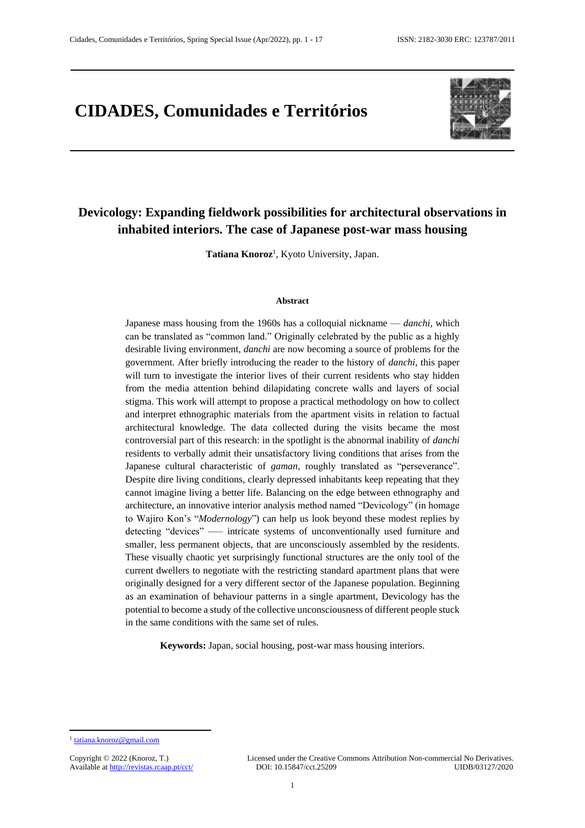# **CIDADES, Comunidades e Territórios**



## **Devicology: Expanding fieldwork possibilities for architectural observations in inhabited interiors. The case of Japanese post-war mass housing**

Tatiana Knoroz<sup>1</sup>, Kyoto University, Japan.

#### **Abstract**

Japanese mass housing from the 1960s has a colloquial nickname — *danchi*, which can be translated as "common land." Originally celebrated by the public as a highly desirable living environment, *danchi* are now becoming a source of problems for the government. After briefly introducing the reader to the history of *danchi*, this paper will turn to investigate the interior lives of their current residents who stay hidden from the media attention behind dilapidating concrete walls and layers of social stigma. This work will attempt to propose a practical methodology on how to collect and interpret ethnographic materials from the apartment visits in relation to factual architectural knowledge. The data collected during the visits became the most controversial part of this research: in the spotlight is the abnormal inability of *danchi* residents to verbally admit their unsatisfactory living conditions that arises from the Japanese cultural characteristic of *gaman*, roughly translated as "perseverance". Despite dire living conditions, clearly depressed inhabitants keep repeating that they cannot imagine living a better life. Balancing on the edge between ethnography and architecture, an innovative interior analysis method named "Devicology" (in homage to Wajiro Kon's "*Modernology*") can help us look beyond these modest replies by detecting "devices" —– intricate systems of unconventionally used furniture and smaller, less permanent objects, that are unconsciously assembled by the residents. These visually chaotic yet surprisingly functional structures are the only tool of the current dwellers to negotiate with the restricting standard apartment plans that were originally designed for a very different sector of the Japanese population. Beginning as an examination of behaviour patterns in a single apartment, Devicology has the potential to become a study of the collective unconsciousness of different people stuck in the same conditions with the same set of rules.

**Keywords:** Japan, social housing, post-war mass housing interiors.

**.** 

<sup>&</sup>lt;sup>1</sup> [tatiana.knoroz@gmail.com](mailto:tatiana.knoroz@gmail.com)

Available at http://revistas.rcaap.pt/cct/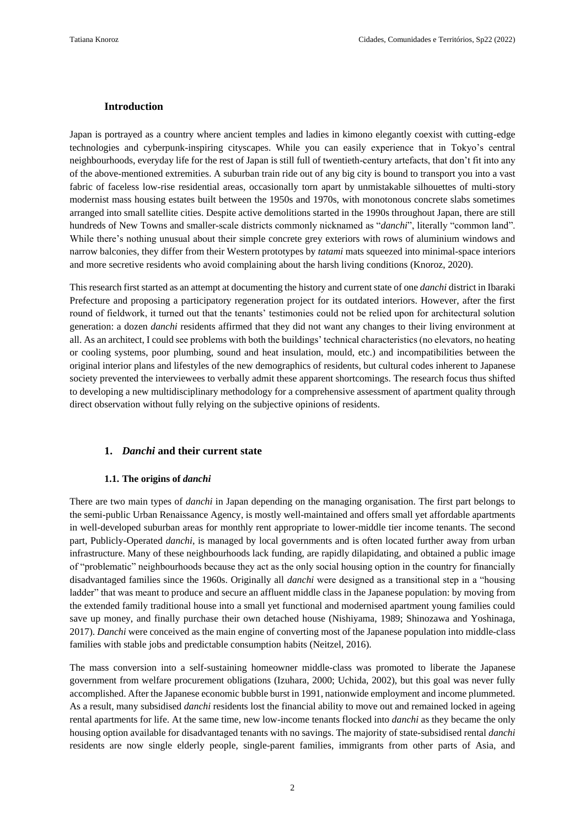#### **Introduction**

Japan is portrayed as a country where ancient temples and ladies in kimono elegantly coexist with cutting-edge technologies and cyberpunk-inspiring cityscapes. While you can easily experience that in Tokyo's central neighbourhoods, everyday life for the rest of Japan is still full of twentieth-century artefacts, that don't fit into any of the above-mentioned extremities. A suburban train ride out of any big city is bound to transport you into a vast fabric of faceless low-rise residential areas, occasionally torn apart by unmistakable silhouettes of multi-story modernist mass housing estates built between the 1950s and 1970s, with monotonous concrete slabs sometimes arranged into small satellite cities. Despite active demolitions started in the 1990s throughout Japan, there are still hundreds of New Towns and smaller-scale districts commonly nicknamed as "*danchi*", literally "common land". While there's nothing unusual about their simple concrete grey exteriors with rows of aluminium windows and narrow balconies, they differ from their Western prototypes by *tatami* mats squeezed into minimal-space interiors and more secretive residents who avoid complaining about the harsh living conditions (Knoroz, 2020).

This research first started as an attempt at documenting the history and current state of one *danchi* district in Ibaraki Prefecture and proposing a participatory regeneration project for its outdated interiors. However, after the first round of fieldwork, it turned out that the tenants' testimonies could not be relied upon for architectural solution generation: a dozen *danchi* residents affirmed that they did not want any changes to their living environment at all. As an architect, I could see problems with both the buildings' technical characteristics (no elevators, no heating or cooling systems, poor plumbing, sound and heat insulation, mould, etc.) and incompatibilities between the original interior plans and lifestyles of the new demographics of residents, but cultural codes inherent to Japanese society prevented the interviewees to verbally admit these apparent shortcomings. The research focus thus shifted to developing a new multidisciplinary methodology for a comprehensive assessment of apartment quality through direct observation without fully relying on the subjective opinions of residents.

#### **1.** *Danchi* **and their current state**

#### **1.1. The origins of** *danchi*

There are two main types of *danchi* in Japan depending on the managing organisation. The first part belongs to the semi-public Urban Renaissance Agency, is mostly well-maintained and offers small yet affordable apartments in well-developed suburban areas for monthly rent appropriate to lower-middle tier income tenants. The second part, Publicly-Operated *danchi*, is managed by local governments and is often located further away from urban infrastructure. Many of these neighbourhoods lack funding, are rapidly dilapidating, and obtained a public image of "problematic" neighbourhoods because they act as the only social housing option in the country for financially disadvantaged families since the 1960s. Originally all *danchi* were designed as a transitional step in a "housing ladder" that was meant to produce and secure an affluent middle class in the Japanese population: by moving from the extended family traditional house into a small yet functional and modernised apartment young families could save up money, and finally purchase their own detached house (Nishiyama, 1989; Shinozawa and Yoshinaga, 2017). *Danchi* were conceived as the main engine of converting most of the Japanese population into middle-class families with stable jobs and predictable consumption habits (Neitzel, 2016).

The mass conversion into a self-sustaining homeowner middle-class was promoted to liberate the Japanese government from welfare procurement obligations (Izuhara, 2000; Uchida, 2002), but this goal was never fully accomplished. After the Japanese economic bubble burst in 1991, nationwide employment and income plummeted. As a result, many subsidised *danchi* residents lost the financial ability to move out and remained locked in ageing rental apartments for life. At the same time, new low-income tenants flocked into *danchi* as they became the only housing option available for disadvantaged tenants with no savings. The majority of state-subsidised rental *danchi* residents are now single elderly people, single-parent families, immigrants from other parts of Asia, and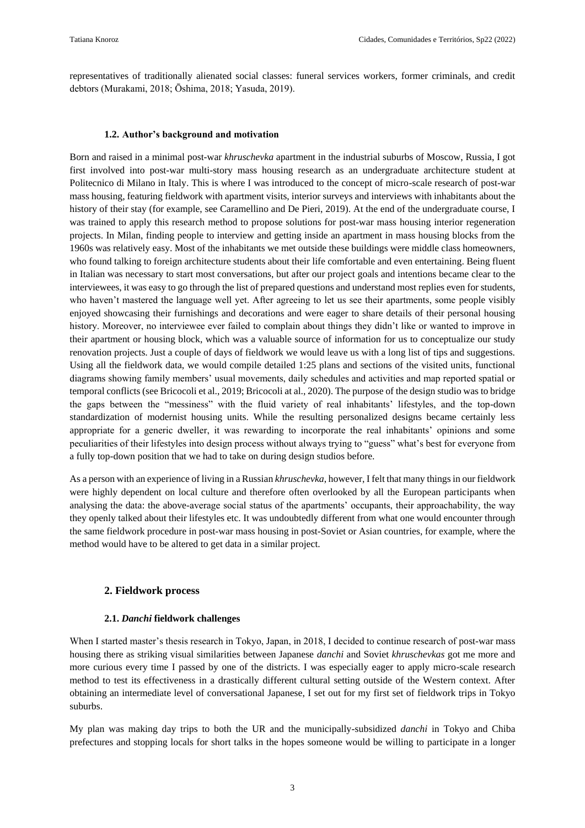representatives of traditionally alienated social classes: funeral services workers, former criminals, and credit debtors (Murakami, 2018; Ōshima, 2018; Yasuda, 2019).

#### **1.2. Author's background and motivation**

Born and raised in a minimal post-war *khruschevka* apartment in the industrial suburbs of Moscow, Russia, I got first involved into post-war multi-story mass housing research as an undergraduate architecture student at Politecnico di Milano in Italy. This is where I was introduced to the concept of micro-scale research of post-war mass housing, featuring fieldwork with apartment visits, interior surveys and interviews with inhabitants about the history of their stay (for example, see Caramellino and De Pieri, 2019). At the end of the undergraduate course, I was trained to apply this research method to propose solutions for post-war mass housing interior regeneration projects. In Milan, finding people to interview and getting inside an apartment in mass housing blocks from the 1960s was relatively easy. Most of the inhabitants we met outside these buildings were middle class homeowners, who found talking to foreign architecture students about their life comfortable and even entertaining. Being fluent in Italian was necessary to start most conversations, but after our project goals and intentions became clear to the interviewees, it was easy to go through the list of prepared questions and understand most replies even for students, who haven't mastered the language well yet. After agreeing to let us see their apartments, some people visibly enjoyed showcasing their furnishings and decorations and were eager to share details of their personal housing history. Moreover, no interviewee ever failed to complain about things they didn't like or wanted to improve in their apartment or housing block, which was a valuable source of information for us to conceptualize our study renovation projects. Just a couple of days of fieldwork we would leave us with a long list of tips and suggestions. Using all the fieldwork data, we would compile detailed 1:25 plans and sections of the visited units, functional diagrams showing family members' usual movements, daily schedules and activities and map reported spatial or temporal conflicts (see Bricocoli et al., 2019; Bricocoli at al., 2020). The purpose of the design studio was to bridge the gaps between the "messiness" with the fluid variety of real inhabitants' lifestyles, and the top-down standardization of modernist housing units. While the resulting personalized designs became certainly less appropriate for a generic dweller, it was rewarding to incorporate the real inhabitants' opinions and some peculiarities of their lifestyles into design process without always trying to "guess" what's best for everyone from a fully top-down position that we had to take on during design studios before.

As a person with an experience of living in a Russian *khruschevka*, however, I felt that many things in our fieldwork were highly dependent on local culture and therefore often overlooked by all the European participants when analysing the data: the above-average social status of the apartments' occupants, their approachability, the way they openly talked about their lifestyles etc. It was undoubtedly different from what one would encounter through the same fieldwork procedure in post-war mass housing in post-Soviet or Asian countries, for example, where the method would have to be altered to get data in a similar project.

#### **2. Fieldwork process**

#### **2.1.** *Danchi* **fieldwork challenges**

When I started master's thesis research in Tokyo, Japan, in 2018, I decided to continue research of post-war mass housing there as striking visual similarities between Japanese *danchi* and Soviet *khruschevkas* got me more and more curious every time I passed by one of the districts. I was especially eager to apply micro-scale research method to test its effectiveness in a drastically different cultural setting outside of the Western context. After obtaining an intermediate level of conversational Japanese, I set out for my first set of fieldwork trips in Tokyo suburbs.

My plan was making day trips to both the UR and the municipally-subsidized *danchi* in Tokyo and Chiba prefectures and stopping locals for short talks in the hopes someone would be willing to participate in a longer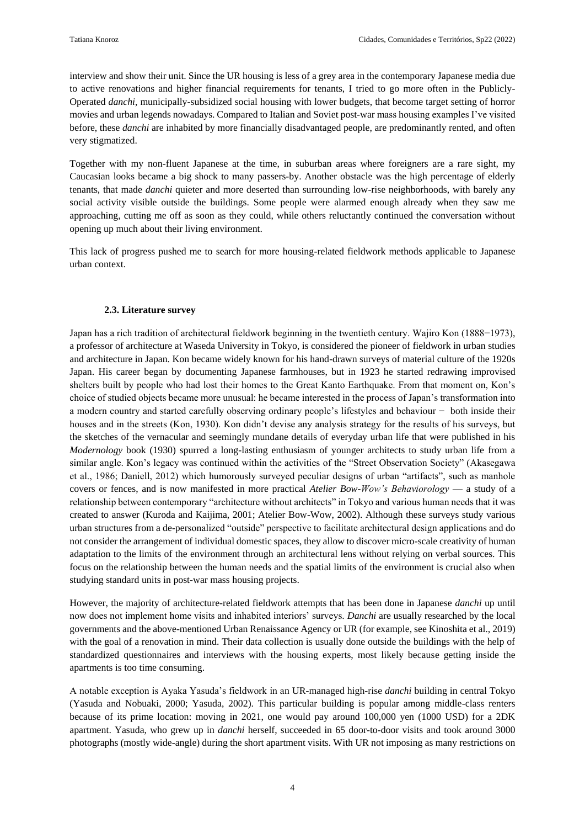interview and show their unit. Since the UR housing is less of a grey area in the contemporary Japanese media due to active renovations and higher financial requirements for tenants, I tried to go more often in the Publicly-Operated *danchi*, municipally-subsidized social housing with lower budgets, that become target setting of horror movies and urban legends nowadays. Compared to Italian and Soviet post-war mass housing examples I've visited before, these *danchi* are inhabited by more financially disadvantaged people, are predominantly rented, and often very stigmatized.

Together with my non-fluent Japanese at the time, in suburban areas where foreigners are a rare sight, my Caucasian looks became a big shock to many passers-by. Another obstacle was the high percentage of elderly tenants, that made *danchi* quieter and more deserted than surrounding low-rise neighborhoods, with barely any social activity visible outside the buildings. Some people were alarmed enough already when they saw me approaching, cutting me off as soon as they could, while others reluctantly continued the conversation without opening up much about their living environment.

This lack of progress pushed me to search for more housing-related fieldwork methods applicable to Japanese urban context.

#### **2.3. Literature survey**

Japan has a rich tradition of architectural fieldwork beginning in the twentieth century. Wajiro Kon (1888−1973), a professor of architecture at Waseda University in Tokyo, is considered the pioneer of fieldwork in urban studies and architecture in Japan. Kon became widely known for his hand-drawn surveys of material culture of the 1920s Japan. His career began by documenting Japanese farmhouses, but in 1923 he started redrawing improvised shelters built by people who had lost their homes to the Great Kanto Earthquake. From that moment on, Kon's choice of studied objects became more unusual: he became interested in the process of Japan's transformation into a modern country and started carefully observing ordinary people's lifestyles and behaviour − both inside their houses and in the streets (Kon, 1930). Kon didn't devise any analysis strategy for the results of his surveys, but the sketches of the vernacular and seemingly mundane details of everyday urban life that were published in his *Modernology* book (1930) spurred a long-lasting enthusiasm of younger architects to study urban life from a similar angle. Kon's legacy was continued within the activities of the "Street Observation Society" (Akasegawa et al., 1986; Daniell, 2012) which humorously surveyed peculiar designs of urban "artifacts", such as manhole covers or fences, and is now manifested in more practical *Atelier Bow-Wow's Behaviorology* — a study of a relationship between contemporary "architecture without architects" in Tokyo and various human needs that it was created to answer (Kuroda and Kaijima, 2001; Atelier Bow-Wow, 2002). Although these surveys study various urban structures from a de-personalized "outside" perspective to facilitate architectural design applications and do not consider the arrangement of individual domestic spaces, they allow to discover micro-scale creativity of human adaptation to the limits of the environment through an architectural lens without relying on verbal sources. This focus on the relationship between the human needs and the spatial limits of the environment is crucial also when studying standard units in post-war mass housing projects.

However, the majority of architecture-related fieldwork attempts that has been done in Japanese *danchi* up until now does not implement home visits and inhabited interiors' surveys. *Danchi* are usually researched by the local governments and the above-mentioned Urban Renaissance Agency or UR (for example, see Kinoshita et al., 2019) with the goal of a renovation in mind. Their data collection is usually done outside the buildings with the help of standardized questionnaires and interviews with the housing experts, most likely because getting inside the apartments is too time consuming.

A notable exception is Ayaka Yasuda's fieldwork in an UR-managed high-rise *danchi* building in central Tokyo (Yasuda and Nobuaki, 2000; Yasuda, 2002). This particular building is popular among middle-class renters because of its prime location: moving in 2021, one would pay around 100,000 yen (1000 USD) for a 2DK apartment. Yasuda, who grew up in *danchi* herself, succeeded in 65 door-to-door visits and took around 3000 photographs (mostly wide-angle) during the short apartment visits. With UR not imposing as many restrictions on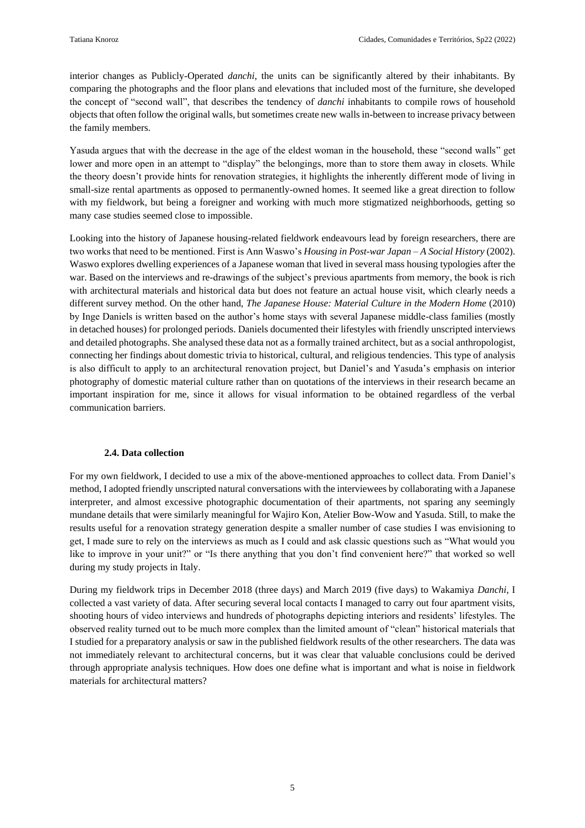interior changes as Publicly-Operated *danchi*, the units can be significantly altered by their inhabitants. By comparing the photographs and the floor plans and elevations that included most of the furniture, she developed the concept of "second wall", that describes the tendency of *danchi* inhabitants to compile rows of household objects that often follow the original walls, but sometimes create new walls in-between to increase privacy between the family members.

Yasuda argues that with the decrease in the age of the eldest woman in the household, these "second walls" get lower and more open in an attempt to "display" the belongings, more than to store them away in closets. While the theory doesn't provide hints for renovation strategies, it highlights the inherently different mode of living in small-size rental apartments as opposed to permanently-owned homes. It seemed like a great direction to follow with my fieldwork, but being a foreigner and working with much more stigmatized neighborhoods, getting so many case studies seemed close to impossible.

Looking into the history of Japanese housing-related fieldwork endeavours lead by foreign researchers, there are two works that need to be mentioned. First is Ann Waswo's *Housing in Post-war Japan – A Social History* (2002). Waswo explores dwelling experiences of a Japanese woman that lived in several mass housing typologies after the war. Based on the interviews and re-drawings of the subject's previous apartments from memory, the book is rich with architectural materials and historical data but does not feature an actual house visit, which clearly needs a different survey method. On the other hand, *The Japanese House: Material Culture in the Modern Home* (2010) by Inge Daniels is written based on the author's home stays with several Japanese middle-class families (mostly in detached houses) for prolonged periods. Daniels documented their lifestyles with friendly unscripted interviews and detailed photographs. She analysed these data not as a formally trained architect, but as a social anthropologist, connecting her findings about domestic trivia to historical, cultural, and religious tendencies. This type of analysis is also difficult to apply to an architectural renovation project, but Daniel's and Yasuda's emphasis on interior photography of domestic material culture rather than on quotations of the interviews in their research became an important inspiration for me, since it allows for visual information to be obtained regardless of the verbal communication barriers.

#### **2.4. Data collection**

For my own fieldwork, I decided to use a mix of the above-mentioned approaches to collect data. From Daniel's method, I adopted friendly unscripted natural conversations with the interviewees by collaborating with a Japanese interpreter, and almost excessive photographic documentation of their apartments, not sparing any seemingly mundane details that were similarly meaningful for Wajiro Kon, Atelier Bow-Wow and Yasuda. Still, to make the results useful for a renovation strategy generation despite a smaller number of case studies I was envisioning to get, I made sure to rely on the interviews as much as I could and ask classic questions such as "What would you like to improve in your unit?" or "Is there anything that you don't find convenient here?" that worked so well during my study projects in Italy.

During my fieldwork trips in December 2018 (three days) and March 2019 (five days) to Wakamiya *Danchi*, I collected a vast variety of data. After securing several local contacts I managed to carry out four apartment visits, shooting hours of video interviews and hundreds of photographs depicting interiors and residents' lifestyles. The observed reality turned out to be much more complex than the limited amount of "clean" historical materials that I studied for a preparatory analysis or saw in the published fieldwork results of the other researchers. The data was not immediately relevant to architectural concerns, but it was clear that valuable conclusions could be derived through appropriate analysis techniques. How does one define what is important and what is noise in fieldwork materials for architectural matters?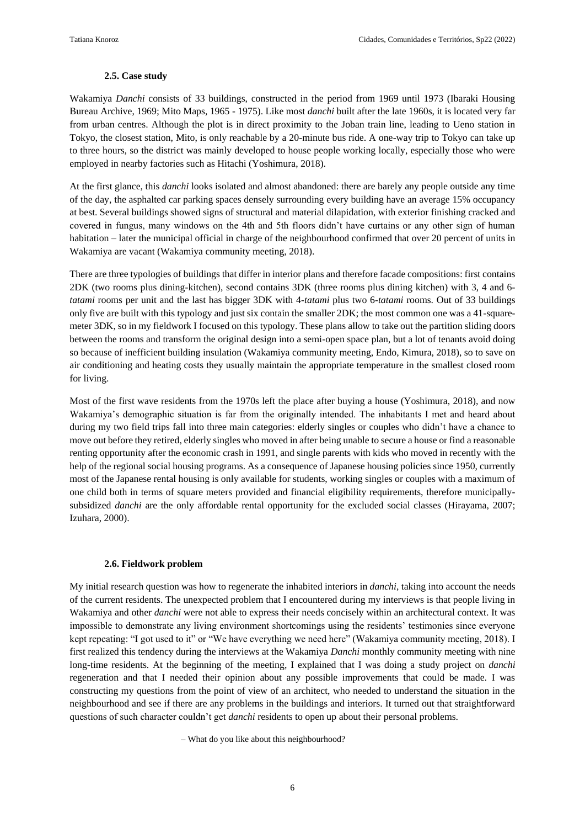#### **2.5. Case study**

Wakamiya *Danchi* consists of 33 buildings, constructed in the period from 1969 until 1973 (Ibaraki Housing Bureau Archive, 1969; Mito Maps, 1965 - 1975). Like most *danchi* built after the late 1960s, it is located very far from urban centres. Although the plot is in direct proximity to the Joban train line, leading to Ueno station in Tokyo, the closest station, Mito, is only reachable by a 20-minute bus ride. A one-way trip to Tokyo can take up to three hours, so the district was mainly developed to house people working locally, especially those who were employed in nearby factories such as Hitachi (Yoshimura, 2018).

At the first glance, this *danchi* looks isolated and almost abandoned: there are barely any people outside any time of the day, the asphalted car parking spaces densely surrounding every building have an average 15% occupancy at best. Several buildings showed signs of structural and material dilapidation, with exterior finishing cracked and covered in fungus, many windows on the 4th and 5th floors didn't have curtains or any other sign of human habitation – later the municipal official in charge of the neighbourhood confirmed that over 20 percent of units in Wakamiya are vacant (Wakamiya community meeting, 2018).

There are three typologies of buildings that differ in interior plans and therefore facade compositions: first contains 2DK (two rooms plus dining-kitchen), second contains 3DK (three rooms plus dining kitchen) with 3, 4 and 6 *tatami* rooms per unit and the last has bigger 3DK with 4-*tatami* plus two 6-*tatami* rooms. Out of 33 buildings only five are built with this typology and just six contain the smaller 2DK; the most common one was a 41-squaremeter 3DK, so in my fieldwork I focused on this typology. These plans allow to take out the partition sliding doors between the rooms and transform the original design into a semi-open space plan, but a lot of tenants avoid doing so because of inefficient building insulation (Wakamiya community meeting, Endo, Kimura, 2018), so to save on air conditioning and heating costs they usually maintain the appropriate temperature in the smallest closed room for living.

Most of the first wave residents from the 1970s left the place after buying a house (Yoshimura, 2018), and now Wakamiya's demographic situation is far from the originally intended. The inhabitants I met and heard about during my two field trips fall into three main categories: elderly singles or couples who didn't have a chance to move out before they retired, elderly singles who moved in after being unable to secure a house or find a reasonable renting opportunity after the economic crash in 1991, and single parents with kids who moved in recently with the help of the regional social housing programs. As a consequence of Japanese housing policies since 1950, currently most of the Japanese rental housing is only available for students, working singles or couples with a maximum of one child both in terms of square meters provided and financial eligibility requirements, therefore municipallysubsidized *danchi* are the only affordable rental opportunity for the excluded social classes (Hirayama, 2007; Izuhara, 2000).

#### **2.6. Fieldwork problem**

My initial research question was how to regenerate the inhabited interiors in *danchi*, taking into account the needs of the current residents. The unexpected problem that I encountered during my interviews is that people living in Wakamiya and other *danchi* were not able to express their needs concisely within an architectural context. It was impossible to demonstrate any living environment shortcomings using the residents' testimonies since everyone kept repeating: "I got used to it" or "We have everything we need here" (Wakamiya community meeting, 2018). I first realized this tendency during the interviews at the Wakamiya *Danchi* monthly community meeting with nine long-time residents. At the beginning of the meeting, I explained that I was doing a study project on *danchi* regeneration and that I needed their opinion about any possible improvements that could be made. I was constructing my questions from the point of view of an architect, who needed to understand the situation in the neighbourhood and see if there are any problems in the buildings and interiors. It turned out that straightforward questions of such character couldn't get *danchi* residents to open up about their personal problems.

– What do you like about this neighbourhood?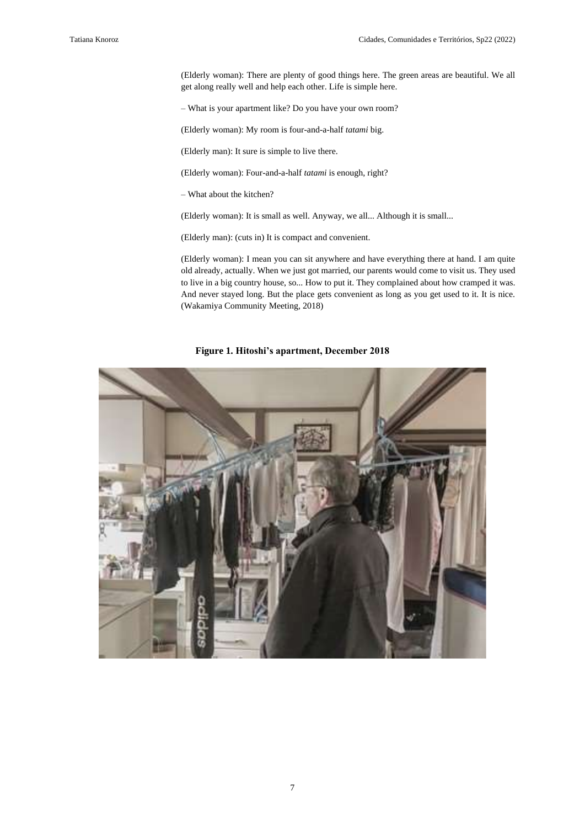(Elderly woman): There are plenty of good things here. The green areas are beautiful. We all get along really well and help each other. Life is simple here.

– What is your apartment like? Do you have your own room?

(Elderly woman): My room is four-and-a-half *tatami* big.

(Elderly man): It sure is simple to live there.

(Elderly woman): Four-and-a-half *tatami* is enough, right?

– What about the kitchen?

(Elderly woman): It is small as well. Anyway, we all... Although it is small...

(Elderly man): (cuts in) It is compact and convenient.

(Elderly woman): I mean you can sit anywhere and have everything there at hand. I am quite old already, actually. When we just got married, our parents would come to visit us. They used to live in a big country house, so... How to put it. They complained about how cramped it was. And never stayed long. But the place gets convenient as long as you get used to it. It is nice. (Wakamiya Community Meeting, 2018)

**Figure 1. Hitoshi's apartment, December 2018**

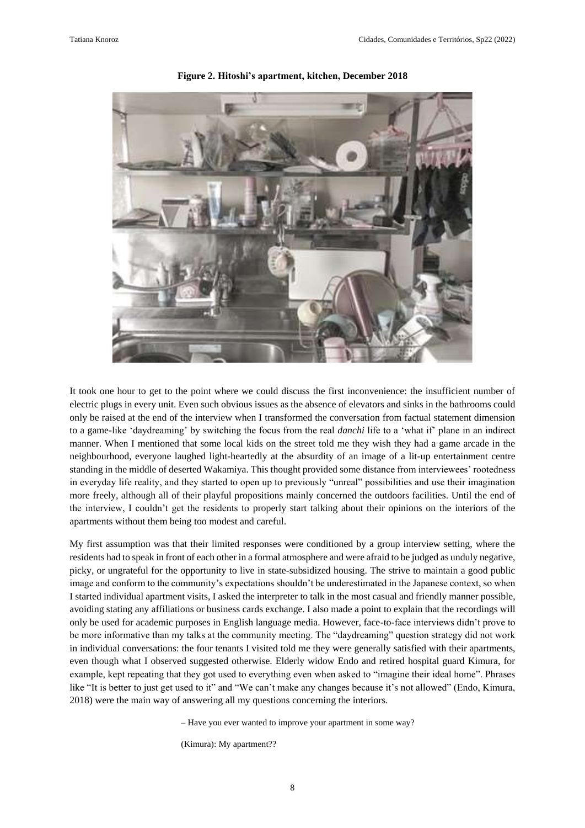

**Figure 2. Hitoshi's apartment, kitchen, December 2018**

It took one hour to get to the point where we could discuss the first inconvenience: the insufficient number of electric plugs in every unit. Even such obvious issues as the absence of elevators and sinks in the bathrooms could only be raised at the end of the interview when I transformed the conversation from factual statement dimension to a game-like 'daydreaming' by switching the focus from the real *danchi* life to a 'what if' plane in an indirect manner. When I mentioned that some local kids on the street told me they wish they had a game arcade in the neighbourhood, everyone laughed light-heartedly at the absurdity of an image of a lit-up entertainment centre standing in the middle of deserted Wakamiya. This thought provided some distance from interviewees' rootedness in everyday life reality, and they started to open up to previously "unreal" possibilities and use their imagination more freely, although all of their playful propositions mainly concerned the outdoors facilities. Until the end of the interview, I couldn't get the residents to properly start talking about their opinions on the interiors of the apartments without them being too modest and careful.

My first assumption was that their limited responses were conditioned by a group interview setting, where the residents had to speak in front of each other in a formal atmosphere and were afraid to be judged as unduly negative, picky, or ungrateful for the opportunity to live in state-subsidized housing. The strive to maintain a good public image and conform to the community's expectations shouldn't be underestimated in the Japanese context, so when I started individual apartment visits, I asked the interpreter to talk in the most casual and friendly manner possible, avoiding stating any affiliations or business cards exchange. I also made a point to explain that the recordings will only be used for academic purposes in English language media. However, face-to-face interviews didn't prove to be more informative than my talks at the community meeting. The "daydreaming" question strategy did not work in individual conversations: the four tenants I visited told me they were generally satisfied with their apartments, even though what I observed suggested otherwise. Elderly widow Endo and retired hospital guard Kimura, for example, kept repeating that they got used to everything even when asked to "imagine their ideal home". Phrases like "It is better to just get used to it" and "We can't make any changes because it's not allowed" (Endo, Kimura, 2018) were the main way of answering all my questions concerning the interiors.

– Have you ever wanted to improve your apartment in some way?

(Kimura): My apartment??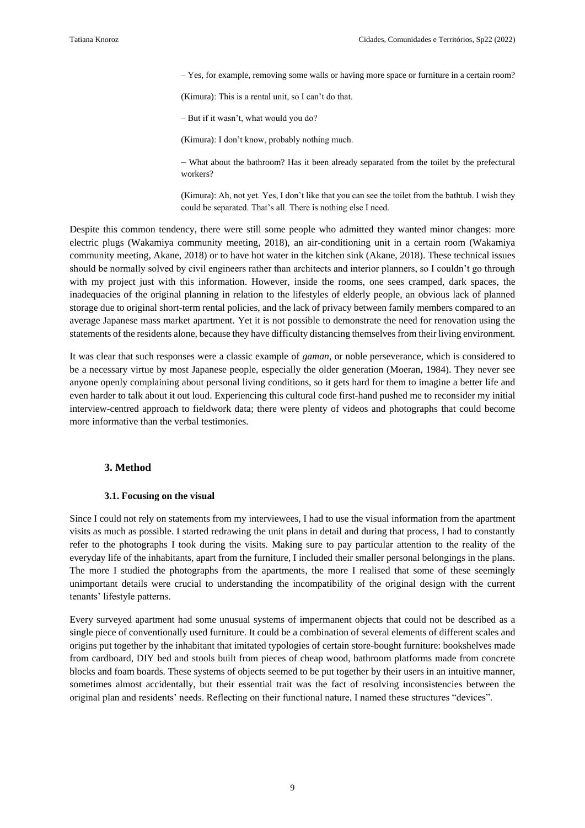– Yes, for example, removing some walls or having more space or furniture in a certain room?

(Kimura): This is a rental unit, so I can't do that.

– But if it wasn't, what would you do?

(Kimura): I don't know, probably nothing much.

– What about the bathroom? Has it been already separated from the toilet by the prefectural workers?

(Kimura): Ah, not yet. Yes, I don't like that you can see the toilet from the bathtub. I wish they could be separated. That's all. There is nothing else I need.

Despite this common tendency, there were still some people who admitted they wanted minor changes: more electric plugs (Wakamiya community meeting, 2018), an air-conditioning unit in a certain room (Wakamiya community meeting, Akane, 2018) or to have hot water in the kitchen sink (Akane, 2018). These technical issues should be normally solved by civil engineers rather than architects and interior planners, so I couldn't go through with my project just with this information. However, inside the rooms, one sees cramped, dark spaces, the inadequacies of the original planning in relation to the lifestyles of elderly people, an obvious lack of planned storage due to original short-term rental policies, and the lack of privacy between family members compared to an average Japanese mass market apartment. Yet it is not possible to demonstrate the need for renovation using the statements of the residents alone, because they have difficulty distancing themselves from their living environment.

It was clear that such responses were a classic example of *gaman,* or noble perseverance, which is considered to be a necessary virtue by most Japanese people, especially the older generation (Moeran, 1984). They never see anyone openly complaining about personal living conditions, so it gets hard for them to imagine a better life and even harder to talk about it out loud. Experiencing this cultural code first-hand pushed me to reconsider my initial interview-centred approach to fieldwork data; there were plenty of videos and photographs that could become more informative than the verbal testimonies.

#### **3. Method**

#### **3.1. Focusing on the visual**

Since I could not rely on statements from my interviewees, I had to use the visual information from the apartment visits as much as possible. I started redrawing the unit plans in detail and during that process, I had to constantly refer to the photographs I took during the visits. Making sure to pay particular attention to the reality of the everyday life of the inhabitants, apart from the furniture, I included their smaller personal belongings in the plans. The more I studied the photographs from the apartments, the more I realised that some of these seemingly unimportant details were crucial to understanding the incompatibility of the original design with the current tenants' lifestyle patterns.

Every surveyed apartment had some unusual systems of impermanent objects that could not be described as a single piece of conventionally used furniture. It could be a combination of several elements of different scales and origins put together by the inhabitant that imitated typologies of certain store-bought furniture: bookshelves made from cardboard, DIY bed and stools built from pieces of cheap wood, bathroom platforms made from concrete blocks and foam boards. These systems of objects seemed to be put together by their users in an intuitive manner, sometimes almost accidentally, but their essential trait was the fact of resolving inconsistencies between the original plan and residents' needs. Reflecting on their functional nature, I named these structures "devices".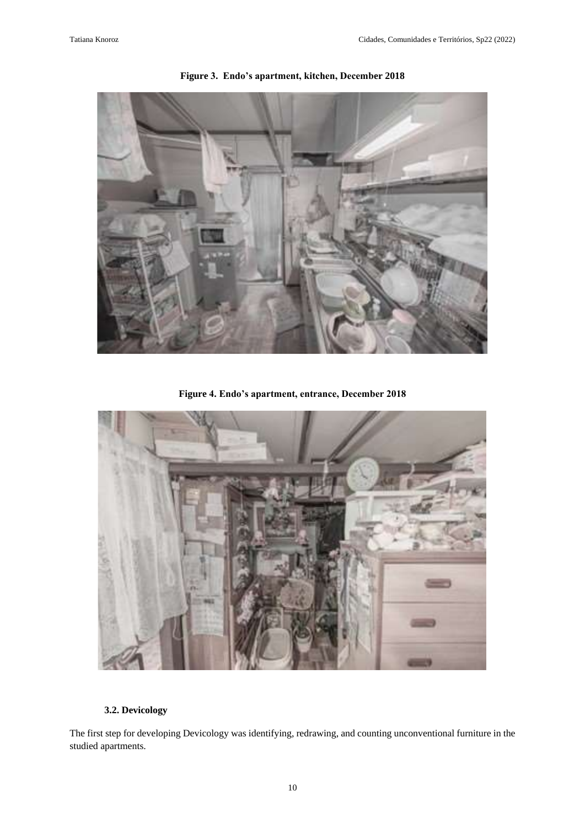

**Figure 3. Endo's apartment, kitchen, December 2018**

**Figure 4. Endo's apartment, entrance, December 2018**



### **3.2. Devicology**

The first step for developing Devicology was identifying, redrawing, and counting unconventional furniture in the studied apartments.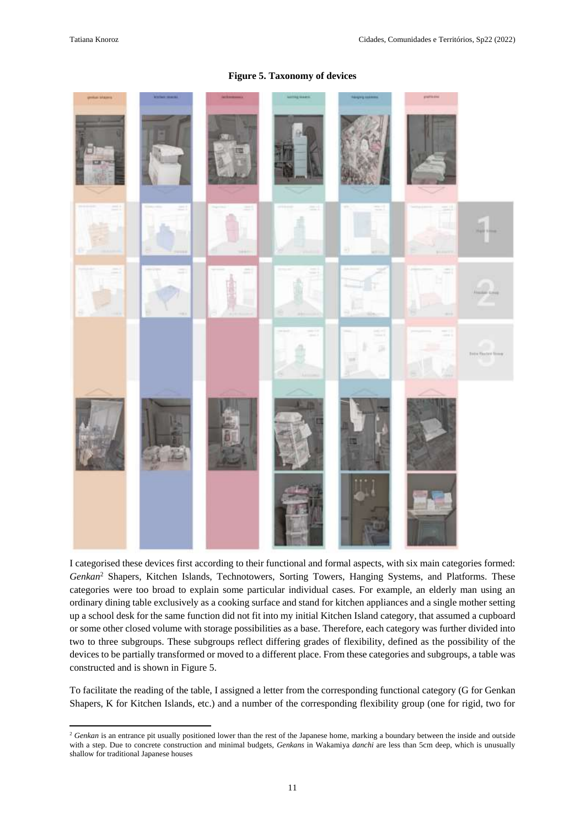**.** 

#### **Figure 5. Taxonomy of devices**

I categorised these devices first according to their functional and formal aspects, with six main categories formed: *Genkan*<sup>2</sup> Shapers, Kitchen Islands, Technotowers, Sorting Towers, Hanging Systems, and Platforms. These categories were too broad to explain some particular individual cases. For example, an elderly man using an ordinary dining table exclusively as a cooking surface and stand for kitchen appliances and a single mother setting up a school desk for the same function did not fit into my initial Kitchen Island category, that assumed a cupboard or some other closed volume with storage possibilities as a base. Therefore, each category was further divided into two to three subgroups. These subgroups reflect differing grades of flexibility, defined as the possibility of the devices to be partially transformed or moved to a different place. From these categories and subgroups, a table was constructed and is shown in Figure 5.

To facilitate the reading of the table, I assigned a letter from the corresponding functional category (G for Genkan Shapers, K for Kitchen Islands, etc.) and a number of the corresponding flexibility group (one for rigid, two for

<sup>&</sup>lt;sup>2</sup> Genkan is an entrance pit usually positioned lower than the rest of the Japanese home, marking a boundary between the inside and outside with a step. Due to concrete construction and minimal budgets, *Genkans* in Wakamiya *danchi* are less than 5cm deep, which is unusually shallow for traditional Japanese houses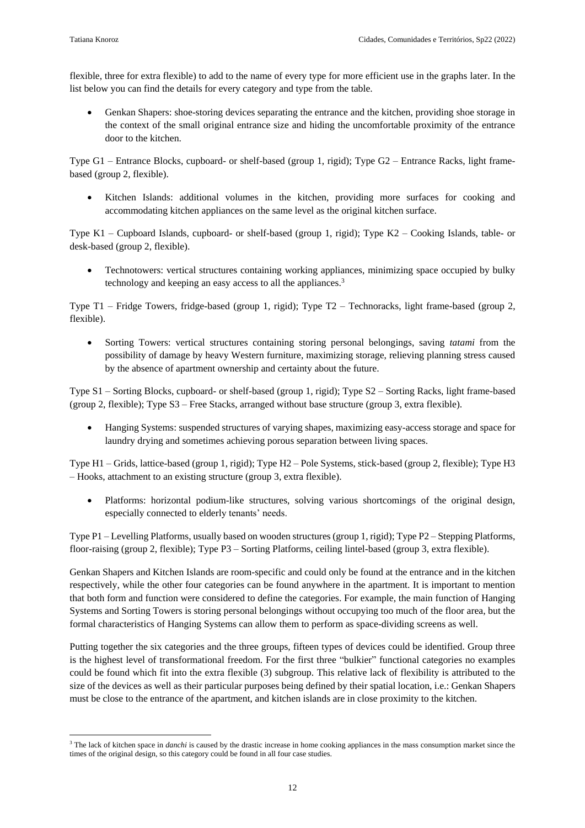**.** 

flexible, three for extra flexible) to add to the name of every type for more efficient use in the graphs later. In the list below you can find the details for every category and type from the table.

Genkan Shapers: shoe-storing devices separating the entrance and the kitchen, providing shoe storage in the context of the small original entrance size and hiding the uncomfortable proximity of the entrance door to the kitchen.

Type G1 – Entrance Blocks, cupboard- or shelf-based (group 1, rigid); Type G2 – Entrance Racks, light framebased (group 2, flexible).

• Kitchen Islands: additional volumes in the kitchen, providing more surfaces for cooking and accommodating kitchen appliances on the same level as the original kitchen surface.

Type K1 – Cupboard Islands, cupboard- or shelf-based (group 1, rigid); Type K2 – Cooking Islands, table- or desk-based (group 2, flexible).

• Technotowers: vertical structures containing working appliances, minimizing space occupied by bulky technology and keeping an easy access to all the appliances.<sup>3</sup>

Type T1 – Fridge Towers, fridge-based (group 1, rigid); Type T2 – Technoracks, light frame-based (group 2, flexible).

• Sorting Towers: vertical structures containing storing personal belongings, saving *tatami* from the possibility of damage by heavy Western furniture, maximizing storage, relieving planning stress caused by the absence of apartment ownership and certainty about the future.

Type S1 – Sorting Blocks, cupboard- or shelf-based (group 1, rigid); Type S2 – Sorting Racks, light frame-based (group 2, flexible); Type S3 – Free Stacks, arranged without base structure (group 3, extra flexible).

• Hanging Systems: suspended structures of varying shapes, maximizing easy-access storage and space for laundry drying and sometimes achieving porous separation between living spaces.

Type H1 – Grids, lattice-based (group 1, rigid); Type H2 – Pole Systems, stick-based (group 2, flexible); Type H3 – Hooks, attachment to an existing structure (group 3, extra flexible).

• Platforms: horizontal podium-like structures, solving various shortcomings of the original design, especially connected to elderly tenants' needs.

Type P1 – Levelling Platforms, usually based on wooden structures (group 1, rigid); Type P2 – Stepping Platforms, floor-raising (group 2, flexible); Type P3 – Sorting Platforms, ceiling lintel-based (group 3, extra flexible).

Genkan Shapers and Kitchen Islands are room-specific and could only be found at the entrance and in the kitchen respectively, while the other four categories can be found anywhere in the apartment. It is important to mention that both form and function were considered to define the categories. For example, the main function of Hanging Systems and Sorting Towers is storing personal belongings without occupying too much of the floor area, but the formal characteristics of Hanging Systems can allow them to perform as space-dividing screens as well.

Putting together the six categories and the three groups, fifteen types of devices could be identified. Group three is the highest level of transformational freedom. For the first three "bulkier" functional categories no examples could be found which fit into the extra flexible (3) subgroup. This relative lack of flexibility is attributed to the size of the devices as well as their particular purposes being defined by their spatial location, i.e.: Genkan Shapers must be close to the entrance of the apartment, and kitchen islands are in close proximity to the kitchen.

<sup>&</sup>lt;sup>3</sup> The lack of kitchen space in *danchi* is caused by the drastic increase in home cooking appliances in the mass consumption market since the times of the original design, so this category could be found in all four case studies.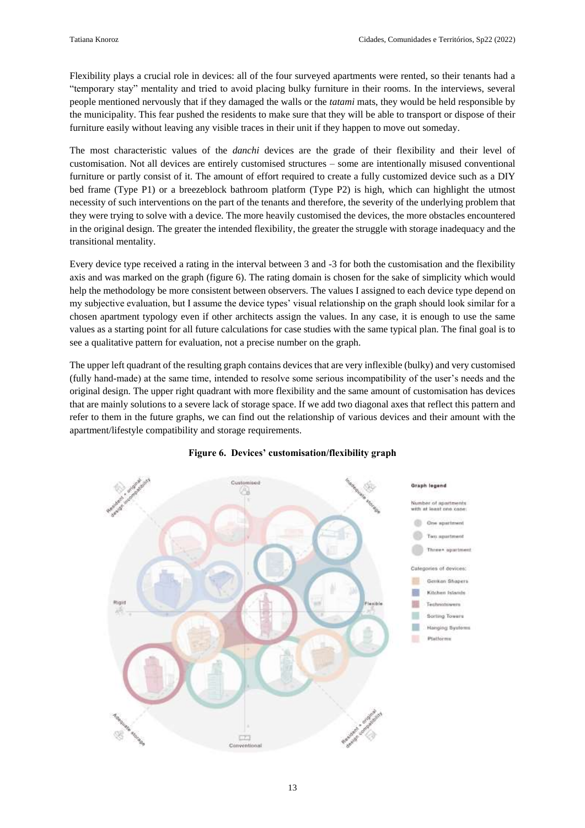Flexibility plays a crucial role in devices: all of the four surveyed apartments were rented, so their tenants had a "temporary stay" mentality and tried to avoid placing bulky furniture in their rooms. In the interviews, several people mentioned nervously that if they damaged the walls or the *tatami* mats, they would be held responsible by the municipality. This fear pushed the residents to make sure that they will be able to transport or dispose of their furniture easily without leaving any visible traces in their unit if they happen to move out someday.

The most characteristic values of the *danchi* devices are the grade of their flexibility and their level of customisation. Not all devices are entirely customised structures – some are intentionally misused conventional furniture or partly consist of it. The amount of effort required to create a fully customized device such as a DIY bed frame (Type P1) or a breezeblock bathroom platform (Type P2) is high, which can highlight the utmost necessity of such interventions on the part of the tenants and therefore, the severity of the underlying problem that they were trying to solve with a device. The more heavily customised the devices, the more obstacles encountered in the original design. The greater the intended flexibility, the greater the struggle with storage inadequacy and the transitional mentality.

Every device type received a rating in the interval between 3 and -3 for both the customisation and the flexibility axis and was marked on the graph (figure 6). The rating domain is chosen for the sake of simplicity which would help the methodology be more consistent between observers. The values I assigned to each device type depend on my subjective evaluation, but I assume the device types' visual relationship on the graph should look similar for a chosen apartment typology even if other architects assign the values. In any case, it is enough to use the same values as a starting point for all future calculations for case studies with the same typical plan. The final goal is to see a qualitative pattern for evaluation, not a precise number on the graph.

The upper left quadrant of the resulting graph contains devices that are very inflexible (bulky) and very customised (fully hand-made) at the same time, intended to resolve some serious incompatibility of the user's needs and the original design. The upper right quadrant with more flexibility and the same amount of customisation has devices that are mainly solutions to a severe lack of storage space. If we add two diagonal axes that reflect this pattern and refer to them in the future graphs, we can find out the relationship of various devices and their amount with the apartment/lifestyle compatibility and storage requirements.



#### **Figure 6. Devices' customisation/flexibility graph**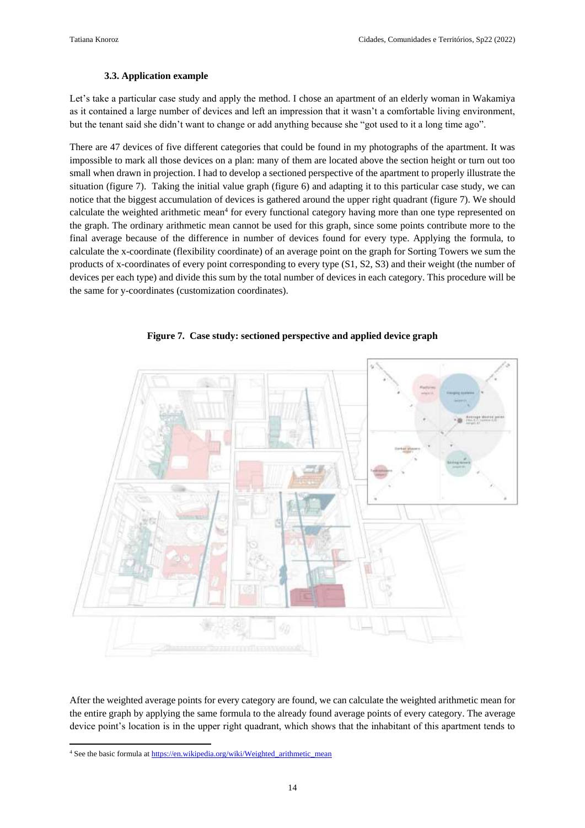#### **3.3. Application example**

Let's take a particular case study and apply the method. I chose an apartment of an elderly woman in Wakamiya as it contained a large number of devices and left an impression that it wasn't a comfortable living environment, but the tenant said she didn't want to change or add anything because she "got used to it a long time ago".

There are 47 devices of five different categories that could be found in my photographs of the apartment. It was impossible to mark all those devices on a plan: many of them are located above the section height or turn out too small when drawn in projection. I had to develop a sectioned perspective of the apartment to properly illustrate the situation (figure 7). Taking the initial value graph (figure 6) and adapting it to this particular case study, we can notice that the biggest accumulation of devices is gathered around the upper right quadrant (figure 7). We should calculate the weighted arithmetic mean<sup>4</sup> for every functional category having more than one type represented on the graph. The ordinary arithmetic mean cannot be used for this graph, since some points contribute more to the final average because of the difference in number of devices found for every type. Applying the formula, to calculate the x-coordinate (flexibility coordinate) of an average point on the graph for Sorting Towers we sum the products of x-coordinates of every point corresponding to every type (S1, S2, S3) and their weight (the number of devices per each type) and divide this sum by the total number of devices in each category. This procedure will be the same for y-coordinates (customization coordinates).



**Figure 7. Case study: sectioned perspective and applied device graph**

After the weighted average points for every category are found, we can calculate the weighted arithmetic mean for the entire graph by applying the same formula to the already found average points of every category. The average device point's location is in the upper right quadrant, which shows that the inhabitant of this apartment tends to

**<sup>.</sup>** <sup>4</sup> See the basic formula a[t https://en.wikipedia.org/wiki/Weighted\\_arithmetic\\_mean](https://en.wikipedia.org/wiki/Weighted_arithmetic_mean)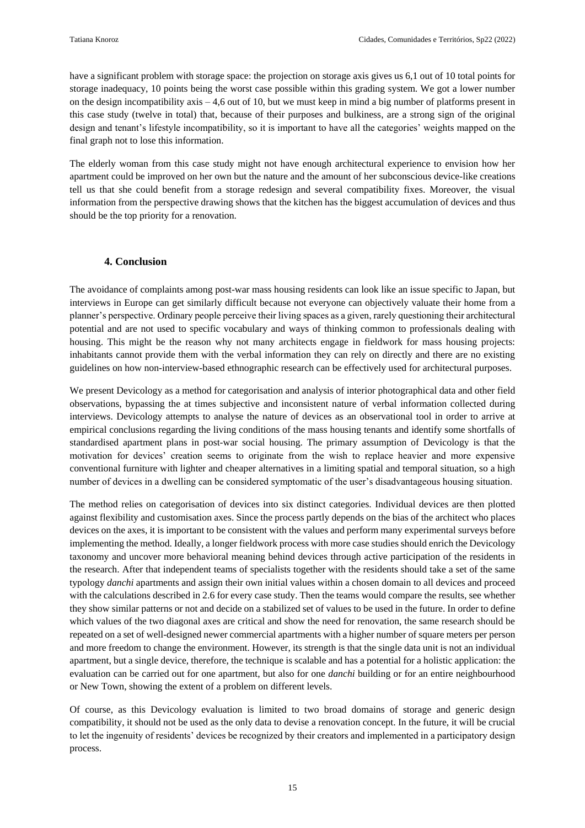have a significant problem with storage space: the projection on storage axis gives us 6,1 out of 10 total points for storage inadequacy, 10 points being the worst case possible within this grading system. We got a lower number on the design incompatibility axis – 4,6 out of 10, but we must keep in mind a big number of platforms present in this case study (twelve in total) that, because of their purposes and bulkiness, are a strong sign of the original design and tenant's lifestyle incompatibility, so it is important to have all the categories' weights mapped on the final graph not to lose this information.

The elderly woman from this case study might not have enough architectural experience to envision how her apartment could be improved on her own but the nature and the amount of her subconscious device-like creations tell us that she could benefit from a storage redesign and several compatibility fixes. Moreover, the visual information from the perspective drawing shows that the kitchen has the biggest accumulation of devices and thus should be the top priority for a renovation.

#### **4. Conclusion**

The avoidance of complaints among post-war mass housing residents can look like an issue specific to Japan, but interviews in Europe can get similarly difficult because not everyone can objectively valuate their home from a planner's perspective. Ordinary people perceive their living spaces as a given, rarely questioning their architectural potential and are not used to specific vocabulary and ways of thinking common to professionals dealing with housing. This might be the reason why not many architects engage in fieldwork for mass housing projects: inhabitants cannot provide them with the verbal information they can rely on directly and there are no existing guidelines on how non-interview-based ethnographic research can be effectively used for architectural purposes.

We present Devicology as a method for categorisation and analysis of interior photographical data and other field observations, bypassing the at times subjective and inconsistent nature of verbal information collected during interviews. Devicology attempts to analyse the nature of devices as an observational tool in order to arrive at empirical conclusions regarding the living conditions of the mass housing tenants and identify some shortfalls of standardised apartment plans in post-war social housing. The primary assumption of Devicology is that the motivation for devices' creation seems to originate from the wish to replace heavier and more expensive conventional furniture with lighter and cheaper alternatives in a limiting spatial and temporal situation, so a high number of devices in a dwelling can be considered symptomatic of the user's disadvantageous housing situation.

The method relies on categorisation of devices into six distinct categories. Individual devices are then plotted against flexibility and customisation axes. Since the process partly depends on the bias of the architect who places devices on the axes, it is important to be consistent with the values and perform many experimental surveys before implementing the method. Ideally, a longer fieldwork process with more case studies should enrich the Devicology taxonomy and uncover more behavioral meaning behind devices through active participation of the residents in the research. After that independent teams of specialists together with the residents should take a set of the same typology *danchi* apartments and assign their own initial values within a chosen domain to all devices and proceed with the calculations described in 2.6 for every case study. Then the teams would compare the results, see whether they show similar patterns or not and decide on a stabilized set of values to be used in the future. In order to define which values of the two diagonal axes are critical and show the need for renovation, the same research should be repeated on a set of well-designed newer commercial apartments with a higher number of square meters per person and more freedom to change the environment. However, its strength is that the single data unit is not an individual apartment, but a single device, therefore, the technique is scalable and has a potential for a holistic application: the evaluation can be carried out for one apartment, but also for one *danchi* building or for an entire neighbourhood or New Town, showing the extent of a problem on different levels.

Of course, as this Devicology evaluation is limited to two broad domains of storage and generic design compatibility, it should not be used as the only data to devise a renovation concept. In the future, it will be crucial to let the ingenuity of residents' devices be recognized by their creators and implemented in a participatory design process.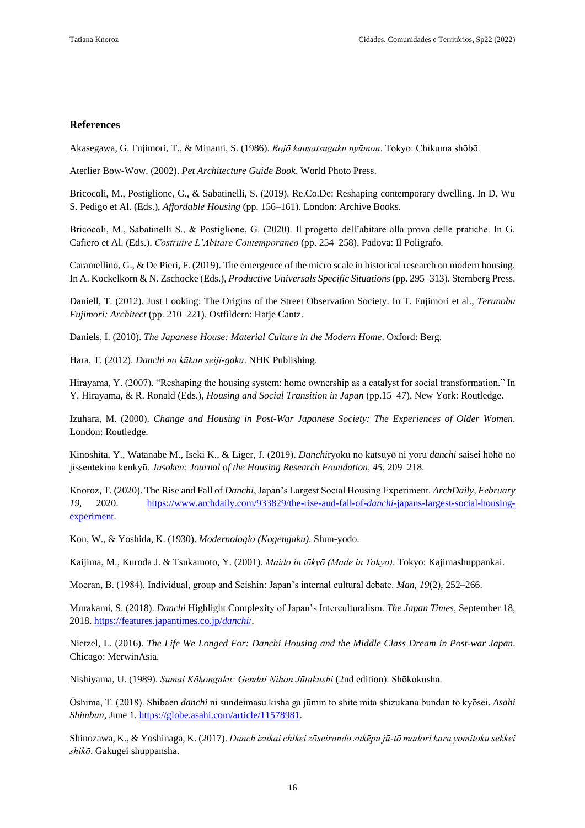#### **References**

Akasegawa, G. Fujimori, T., & Minami, S. (1986). *Rojō kansatsugaku nyūmon*. Tokyo: Chikuma shōbō.

Aterlier Bow-Wow. (2002). *Pet Architecture Guide Book*. World Photo Press.

Bricocoli, M., Postiglione, G., & Sabatinelli, S. (2019). Re.Co.De: Reshaping contemporary dwelling. In D. Wu S. Pedigo et Al. (Eds.), *Affordable Housing* (pp. 156–161). London: Archive Books.

Bricocoli, M., Sabatinelli S., & Postiglione, G. (2020). Il progetto dell'abitare alla prova delle pratiche. In G. Cafiero et Al. (Eds.), *Costruire L'Abitare Contemporaneo* (pp. 254–258). Padova: Il Poligrafo.

Caramellino, G., & De Pieri, F. (2019). The emergence of the micro scale in historical research on modern housing. In A. Kockelkorn & N. Zschocke (Eds.), *Productive Universals Specific Situations* (pp. 295–313). Sternberg Press.

Daniell, T. (2012). Just Looking: The Origins of the Street Observation Society. In T. Fujimori et al., *Terunobu Fujimori: Architect* (pp. 210–221). Ostfildern: Hatje Cantz.

Daniels, I. (2010). *The Japanese House: Material Culture in the Modern Home*. Oxford: Berg.

Hara, T. (2012). *Danchi no kūkan seiji-gaku*. NHK Publishing.

Hirayama, Y. (2007). "Reshaping the housing system: home ownership as a catalyst for social transformation." In Y. Hirayama, & R. Ronald (Eds.), *Housing and Social Transition in Japan* (pp.15–47). New York: Routledge.

Izuhara, M. (2000). *Change and Housing in Post-War Japanese Society: The Experiences of Older Women*. London: Routledge.

Kinoshita, Y., Watanabe M., Iseki K., & Liger, J. (2019). *Danchi*ryoku no katsuyō ni yoru *danchi* saisei hōhō no jissentekina kenkyū. *Jusoken: Journal of the Housing Research Foundation, 45*, 209–218.

Knoroz, T. (2020). The Rise and Fall of *Danchi*, Japan's Largest Social Housing Experiment. *ArchDaily, February 19*, 2020. [https://www.archdaily.com/933829/the-rise-and-fall-of-](https://www.archdaily.com/933829/the-rise-and-fall-of-danchi-japans-largest-social-housing-experiment)*danchi*-japans-largest-social-housing[experiment.](https://www.archdaily.com/933829/the-rise-and-fall-of-danchi-japans-largest-social-housing-experiment)

Kon, W., & Yoshida, K. (1930). *Modernologio (Kogengaku)*. Shun-yodo.

Kaijima, M., Kuroda J. & Tsukamoto, Y. (2001). *Maido in tōkyō (Made in Tokyo)*. Tokyo: Kajimashuppankai.

Moeran, B. (1984). Individual, group and Seishin: Japan's internal cultural debate. *Man, 19*(2), 252–266.

Murakami, S. (2018). *Danchi* Highlight Complexity of Japan's Interculturalism. *The Japan Times*, September 18, 2018. [https://features.japantimes.co.jp/](https://features.japantimes.co.jp/danchi/)*danchi*/.

Nietzel, L. (2016). *The Life We Longed For: Danchi Housing and the Middle Class Dream in Post-war Japan*. Chicago: MerwinAsia.

Nishiyama, U. (1989). *Sumai Kōkongaku: Gendai Nihon Jūtakushi* (2nd edition). Shōkokusha.

Ōshima, T. (2018). Shibaen *danchi* ni sundeimasu kisha ga jūmin to shite mita shizukana bundan to kyōsei. *Asahi Shimbun*, June 1[. https://globe.asahi.com/article/11578981.](https://globe.asahi.com/article/11578981)

Shinozawa, K., & Yoshinaga, K. (2017). *Danch izukai chikei zōseirando sukēpu jū-tō madori kara yomitoku sekkei shikō*. Gakugei shuppansha.